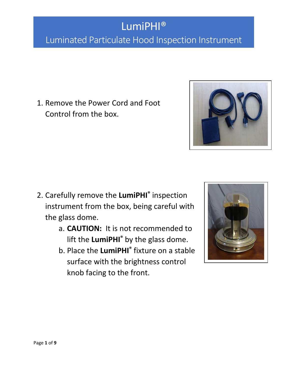### LumiPHI® Luminated Particulate Hood Inspection Instrument

1. Remove the Power Cord and Foot Control from the box.

- 2. Carefully remove the **LumiPHI®** inspection instrument from the box, being careful with the glass dome.
	- a. **CAUTION:** It is not recommended to lift the **LumiPHI®** by the glass dome.
	- b. Place the **LumiPHI®** fixture on a stable surface with the brightness control knob facing to the front.



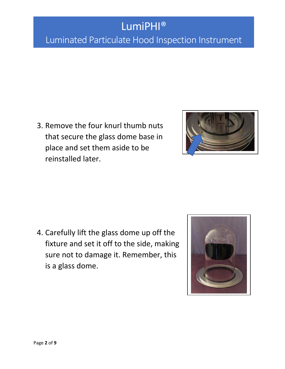#### Luminated Particulate Hood Inspection Instrument

3. Remove the four knurl thumb nuts that secure the glass dome base in place and set them aside to be reinstalled later.



4. Carefully lift the glass dome up off the fixture and set it off to the side, making sure not to damage it. Remember, this is a glass dome.

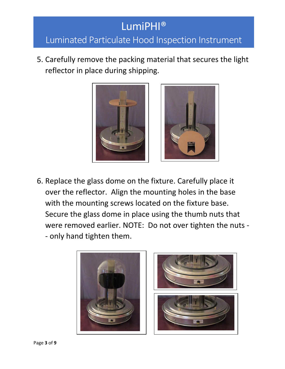#### Luminated Particulate Hood Inspection Instrument

5. Carefully remove the packing material that secures the light reflector in place during shipping.



6. Replace the glass dome on the fixture. Carefully place it over the reflector. Align the mounting holes in the base with the mounting screws located on the fixture base. Secure the glass dome in place using the thumb nuts that were removed earlier. NOTE: Do not over tighten the nuts - - only hand tighten them.

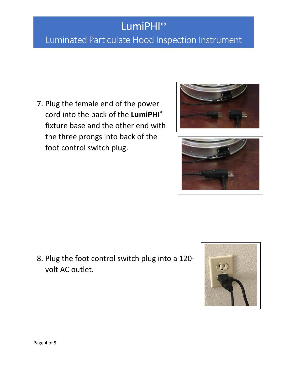### Luminated Particulate Hood Inspection Instrument

7. Plug the female end of the power cord into the back of the **LumiPHI®** fixture base and the other end with the three prongs into back of the foot control switch plug.





8. Plug the foot control switch plug into a 120 volt AC outlet.

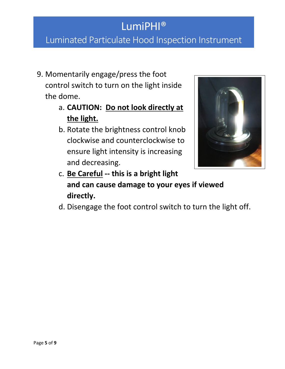#### Luminated Particulate Hood Inspection Instrument

- 9. Momentarily engage/press the foot control switch to turn on the light inside the dome.
	- a. **CAUTION: Do not look directly at the light.**
	- b. Rotate the brightness control knob clockwise and counterclockwise to ensure light intensity is increasing and decreasing.



- c. **Be Careful -- this is a bright light and can cause damage to your eyes if viewed directly.**
- d. Disengage the foot control switch to turn the light off.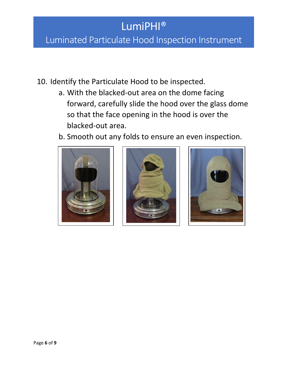#### Luminated Particulate Hood Inspection Instrument

- 10. Identify the Particulate Hood to be inspected.
	- a. With the blacked-out area on the dome facing forward, carefully slide the hood over the glass dome so that the face opening in the hood is over the blacked-out area.
	- b. Smooth out any folds to ensure an even inspection.





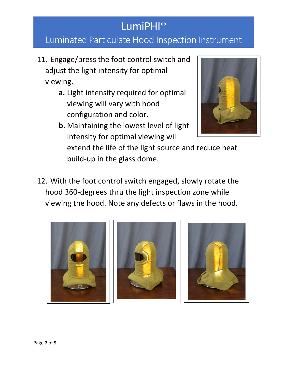#### Luminated Particulate Hood Inspection Instrument

- 11. Engage/press the foot control switch and adjust the light intensity for optimal viewing.
	- **a.** Light intensity required for optimal viewing will vary with hood configuration and color.
	- **b.** Maintaining the lowest level of light intensity for optimal viewing will



extend the life of the light source and reduce heat build-up in the glass dome.

12. With the foot control switch engaged, slowly rotate the hood 360-degrees thru the light inspection zone while viewing the hood. Note any defects or flaws in the hood.

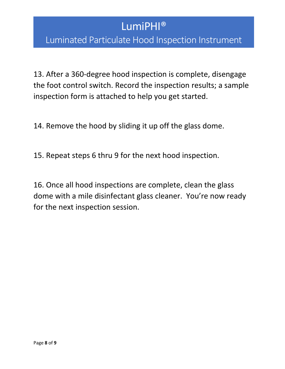#### Luminated Particulate Hood Inspection Instrument

13. After a 360-degree hood inspection is complete, disengage the foot control switch. Record the inspection results; a sample inspection form is attached to help you get started.

14. Remove the hood by sliding it up off the glass dome.

15. Repeat steps 6 thru 9 for the next hood inspection.

16. Once all hood inspections are complete, clean the glass dome with a mile disinfectant glass cleaner. You're now ready for the next inspection session.